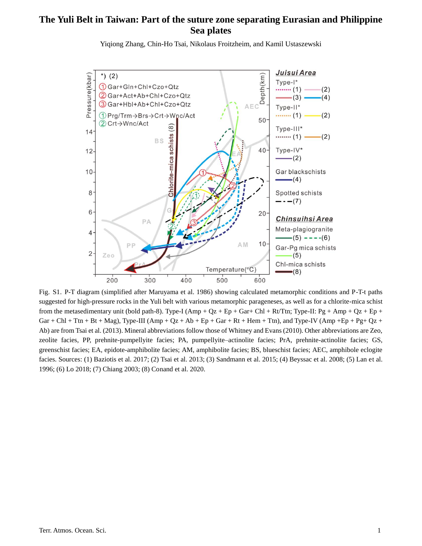## **The Yuli Belt in Taiwan: Part of the suture zone separating Eurasian and Philippine Sea plates**



Yiqiong Zhang, Chin-Ho Tsai, Nikolaus Froitzheim, and Kamil Ustaszewski

Fig. S1. P-T diagram (simplified after Maruyama et al. 1986) showing calculated metamorphic conditions and P-T-t paths suggested for high-pressure rocks in the Yuli belt with various metamorphic parageneses, as well as for a chlorite-mica schist from the metasedimentary unit (bold path-8). Type-I (Amp + Qz + Ep + Gar+ Chl + Rt/Ttn; Type-II: Pg + Amp + Qz + Ep + Gar + Chl + Ttn + Bt + Mag), Type-III (Amp + Qz + Ab + Ep + Gar + Rt + Hem + Ttn), and Type-IV (Amp + Ep + Pg+ Qz + Ab) are from Tsai et al. (2013). Mineral abbreviations follow those of Whitney and Evans (2010). Other abbreviations are Zeo, zeolite facies, PP, prehnite-pumpellyite facies; PA, pumpellyite–actinolite facies; PrA, prehnite-actinolite facies; GS, greenschist facies; EA, epidote-amphibolite facies; AM, amphibolite facies; BS, blueschist facies; AEC, amphibole eclogite facies. Sources: (1) Baziotis et al. 2017; (2) Tsai et al. 2013; (3) Sandmann et al. 2015; (4) Beyssac et al. 2008; (5) Lan et al. 1996; (6) Lo 2018; (7) Chiang 2003; (8) Conand et al. 2020.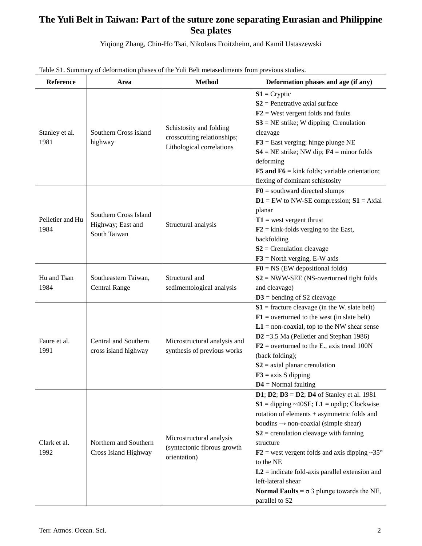## **The Yuli Belt in Taiwan: Part of the suture zone separating Eurasian and Philippine Sea plates**

Yiqiong Zhang, Chin-Ho Tsai, Nikolaus Froitzheim, and Kamil Ustaszewski

| <b>Reference</b>         | Area                                                       | <b>Method</b>                                                                       | Deformation phases and age (if any)                                                                                                                                                                                                                                                                                                                                                                                                                                                                                   |
|--------------------------|------------------------------------------------------------|-------------------------------------------------------------------------------------|-----------------------------------------------------------------------------------------------------------------------------------------------------------------------------------------------------------------------------------------------------------------------------------------------------------------------------------------------------------------------------------------------------------------------------------------------------------------------------------------------------------------------|
| Stanley et al.<br>1981   | Southern Cross island<br>highway                           | Schistosity and folding<br>crosscutting relationships;<br>Lithological correlations | $S1 = Cryptic$<br>$S2$ = Penetrative axial surface<br>$F2$ = West vergent folds and faults<br>$S3 = NE$ strike; W dipping; Crenulation<br>cleavage<br>$F3$ = East verging; hinge plunge NE<br>$S4 = NE$ strike; NW dip; $F4 =$ minor folds<br>deforming<br><b>F5 and F6</b> = kink folds; variable orientation;<br>flexing of dominant schistosity                                                                                                                                                                    |
| Pelletier and Hu<br>1984 | Southern Cross Island<br>Highway; East and<br>South Taiwan | Structural analysis                                                                 | $F0$ = southward directed slumps<br>$D1 = EW$ to NW-SE compression; $S1 = Axial$<br>planar<br>$T1$ = west vergent thrust<br>$F2 = kink-folds verging to the East,$<br>backfolding<br>$S2$ = Crenulation cleavage<br>$F3$ = North verging, E-W axis                                                                                                                                                                                                                                                                    |
| Hu and Tsan<br>1984      | Southeastern Taiwan,<br><b>Central Range</b>               | Structural and<br>sedimentological analysis                                         | $F0 = NS$ (EW depositional folds)<br>$S2 = NWW$ -SEE (NS-overturned tight folds<br>and cleavage)<br>$D3$ = bending of S2 cleavage                                                                                                                                                                                                                                                                                                                                                                                     |
| Faure et al.<br>1991     | Central and Southern<br>cross island highway               | Microstructural analysis and<br>synthesis of previous works                         | $S1$ = fracture cleavage (in the W. slate belt)<br>$F1$ = overturned to the west (in slate belt)<br>$L1 =$ non-coaxial, top to the NW shear sense<br>$D2 = 3.5$ Ma (Pelletier and Stephan 1986)<br>$F2$ = overturned to the E., axis trend 100N<br>(back folding);<br>$S2$ = axial planar crenulation<br>$F3$ = axis S dipping<br>$D4 =$ Normal faulting                                                                                                                                                              |
| Clark et al.<br>1992     | Northern and Southern<br>Cross Island Highway              | Microstructural analysis<br>(syntectonic fibrous growth<br>orientation)             | <b>D1</b> ; <b>D2</b> ; <b>D3</b> = <b>D2</b> ; <b>D4</b> of Stanley et al. 1981<br>$S1 =$ dipping ~40SE; $L1 =$ updip; Clockwise<br>rotation of elements + asymmetric folds and<br>boudins $\rightarrow$ non-coaxial (simple shear)<br>$S2$ = crenulation cleavage with fanning<br>structure<br>$F2$ = west vergent folds and axis dipping ~35°<br>to the NE<br>$L2$ = indicate fold-axis parallel extension and<br>left-lateral shear<br><b>Normal Faults</b> = $\sigma$ 3 plunge towards the NE,<br>parallel to S2 |

Table S1. Summary of deformation phases of the Yuli Belt metasediments from previous studies.